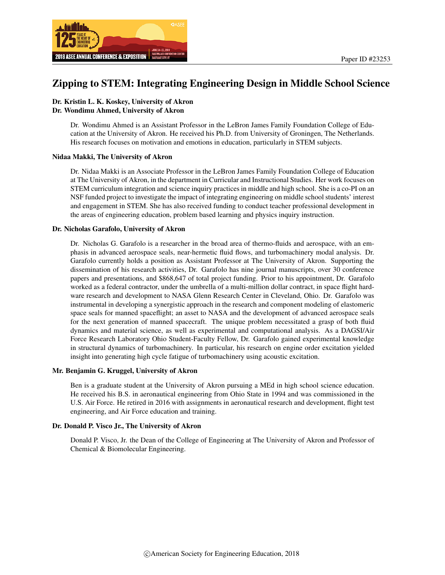

# Zipping to STEM: Integrating Engineering Design in Middle School Science

### Dr. Kristin L. K. Koskey, University of Akron Dr. Wondimu Ahmed, University of Akron

Dr. Wondimu Ahmed is an Assistant Professor in the LeBron James Family Foundation College of Education at the University of Akron. He received his Ph.D. from University of Groningen, The Netherlands. His research focuses on motivation and emotions in education, particularly in STEM subjects.

#### Nidaa Makki, The University of Akron

Dr. Nidaa Makki is an Associate Professor in the LeBron James Family Foundation College of Education at The University of Akron, in the department in Curricular and Instructional Studies. Her work focuses on STEM curriculum integration and science inquiry practices in middle and high school. She is a co-PI on an NSF funded project to investigate the impact of integrating engineering on middle school students' interest and engagement in STEM. She has also received funding to conduct teacher professional development in the areas of engineering education, problem based learning and physics inquiry instruction.

#### Dr. Nicholas Garafolo, University of Akron

Dr. Nicholas G. Garafolo is a researcher in the broad area of thermo-fluids and aerospace, with an emphasis in advanced aerospace seals, near-hermetic fluid flows, and turbomachinery modal analysis. Dr. Garafolo currently holds a position as Assistant Professor at The University of Akron. Supporting the dissemination of his research activities, Dr. Garafolo has nine journal manuscripts, over 30 conference papers and presentations, and \$868,647 of total project funding. Prior to his appointment, Dr. Garafolo worked as a federal contractor, under the umbrella of a multi-million dollar contract, in space flight hardware research and development to NASA Glenn Research Center in Cleveland, Ohio. Dr. Garafolo was instrumental in developing a synergistic approach in the research and component modeling of elastomeric space seals for manned spaceflight; an asset to NASA and the development of advanced aerospace seals for the next generation of manned spacecraft. The unique problem necessitated a grasp of both fluid dynamics and material science, as well as experimental and computational analysis. As a DAGSI/Air Force Research Laboratory Ohio Student-Faculty Fellow, Dr. Garafolo gained experimental knowledge in structural dynamics of turbomachinery. In particular, his research on engine order excitation yielded insight into generating high cycle fatigue of turbomachinery using acoustic excitation.

#### Mr. Benjamin G. Kruggel, University of Akron

Ben is a graduate student at the University of Akron pursuing a MEd in high school science education. He received his B.S. in aeronautical engineering from Ohio State in 1994 and was commissioned in the U.S. Air Force. He retired in 2016 with assignments in aeronautical research and development, flight test engineering, and Air Force education and training.

#### Dr. Donald P. Visco Jr., The University of Akron

Donald P. Visco, Jr. the Dean of the College of Engineering at The University of Akron and Professor of Chemical & Biomolecular Engineering.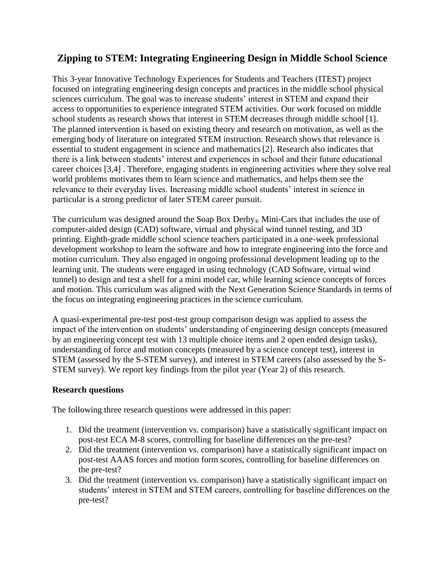# **Zipping to STEM: Integrating Engineering Design in Middle School Science**

This 3-year Innovative Technology Experiences for Students and Teachers (ITEST) project focused on integrating engineering design concepts and practices in the middle school physical sciences curriculum. The goal was to increase students' interest in STEM and expand their access to opportunities to experience integrated STEM activities. Our work focused on middle school students as research shows that interest in STEM decreases through middle school [1]. The planned intervention is based on existing theory and research on motivation, as well as the emerging body of literature on integrated STEM instruction. Research shows that relevance is essential to student engagement in science and mathematics[2]. Research also indicates that there is a link between students' interest and experiences in school and their future educational career choices [3,4] . Therefore, engaging students in engineering activities where they solve real world problems motivates them to learn science and mathematics, and helps them see the relevance to their everyday lives. Increasing middle school students' interest in science in particular is a strong predictor of later STEM career pursuit.

The curriculum was designed around the Soap Box Derby<sub>®</sub> Mini-Cars that includes the use of computer-aided design (CAD) software, virtual and physical wind tunnel testing, and 3D printing. Eighth-grade middle school science teachers participated in a one-week professional development workshop to learn the software and how to integrate engineering into the force and motion curriculum. They also engaged in ongoing professional development leading up to the learning unit. The students were engaged in using technology (CAD Software, virtual wind tunnel) to design and test a shell for a mini model car, while learning science concepts of forces and motion. This curriculum was aligned with the Next Generation Science Standards in terms of the focus on integrating engineering practices in the science curriculum.

A quasi-experimental pre-test post-test group comparison design was applied to assess the impact of the intervention on students' understanding of engineering design concepts (measured by an engineering concept test with 13 multiple choice items and 2 open ended design tasks), understanding of force and motion concepts (measured by a science concept test), interest in STEM (assessed by the S-STEM survey), and interest in STEM careers (also assessed by the S-STEM survey). We report key findings from the pilot year (Year 2) of this research.

## **Research questions**

The following three research questions were addressed in this paper:

- 1. Did the treatment (intervention vs. comparison) have a statistically significant impact on post-test ECA M-8 scores, controlling for baseline differences on the pre-test?
- 2. Did the treatment (intervention vs. comparison) have a statistically significant impact on post-test AAAS forces and motion form scores, controlling for baseline differences on the pre-test?
- 3. Did the treatment (intervention vs. comparison) have a statistically significant impact on students' interest in STEM and STEM careers, controlling for baseline differences on the pre-test?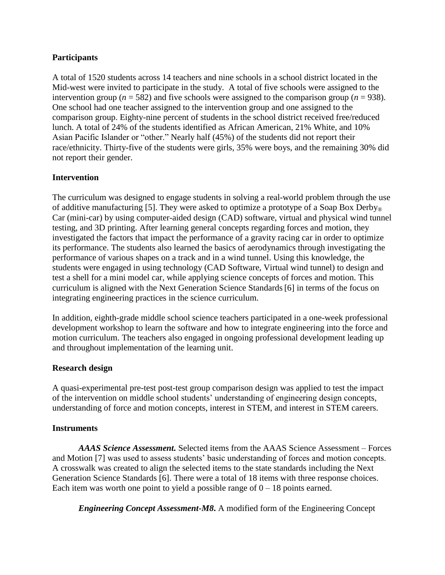# **Participants**

A total of 1520 students across 14 teachers and nine schools in a school district located in the Mid-west were invited to participate in the study. A total of five schools were assigned to the intervention group ( $n = 582$ ) and five schools were assigned to the comparison group ( $n = 938$ ). One school had one teacher assigned to the intervention group and one assigned to the comparison group. Eighty-nine percent of students in the school district received free/reduced lunch. A total of 24% of the students identified as African American, 21% White, and 10% Asian Pacific Islander or "other." Nearly half (45%) of the students did not report their race/ethnicity. Thirty-five of the students were girls, 35% were boys, and the remaining 30% did not report their gender.

# **Intervention**

The curriculum was designed to engage students in solving a real-world problem through the use of additive manufacturing [5]. They were asked to optimize a prototype of a Soap Box Derby<sub>®</sub> Car (mini-car) by using computer-aided design (CAD) software, virtual and physical wind tunnel testing, and 3D printing. After learning general concepts regarding forces and motion, they investigated the factors that impact the performance of a gravity racing car in order to optimize its performance. The students also learned the basics of aerodynamics through investigating the performance of various shapes on a track and in a wind tunnel. Using this knowledge, the students were engaged in using technology (CAD Software, Virtual wind tunnel) to design and test a shell for a mini model car, while applying science concepts of forces and motion. This curriculum is aligned with the Next Generation Science Standards[6] in terms of the focus on integrating engineering practices in the science curriculum.

In addition, eighth-grade middle school science teachers participated in a one-week professional development workshop to learn the software and how to integrate engineering into the force and motion curriculum. The teachers also engaged in ongoing professional development leading up and throughout implementation of the learning unit.

## **Research design**

A quasi-experimental pre-test post-test group comparison design was applied to test the impact of the intervention on middle school students' understanding of engineering design concepts, understanding of force and motion concepts, interest in STEM, and interest in STEM careers.

## **Instruments**

*AAAS Science Assessment.* Selected items from the AAAS Science Assessment – Forces and Motion [7] was used to assess students' basic understanding of forces and motion concepts. A crosswalk was created to align the selected items to the state standards including the Next Generation Science Standards [6]. There were a total of 18 items with three response choices. Each item was worth one point to yield a possible range of  $0 - 18$  points earned.

*Engineering Concept Assessment-M8***.** A modified form of the Engineering Concept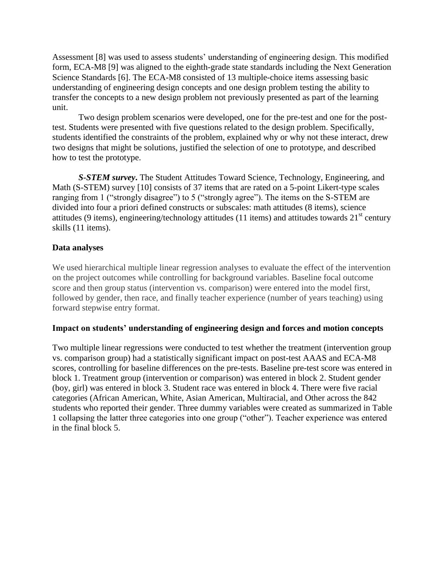Assessment [8] was used to assess students' understanding of engineering design. This modified form, ECA-M8 [9] was aligned to the eighth-grade state standards including the Next Generation Science Standards [6]. The ECA-M8 consisted of 13 multiple-choice items assessing basic understanding of engineering design concepts and one design problem testing the ability to transfer the concepts to a new design problem not previously presented as part of the learning unit.

Two design problem scenarios were developed, one for the pre-test and one for the posttest. Students were presented with five questions related to the design problem. Specifically, students identified the constraints of the problem, explained why or why not these interact, drew two designs that might be solutions, justified the selection of one to prototype, and described how to test the prototype.

*S-STEM survey***.** The Student Attitudes Toward Science, Technology, Engineering, and Math (S-STEM) survey [10] consists of 37 items that are rated on a 5-point Likert-type scales ranging from 1 ("strongly disagree") to 5 ("strongly agree"). The items on the S-STEM are divided into four a priori defined constructs or subscales: math attitudes (8 items), science attitudes (9 items), engineering/technology attitudes (11 items) and attitudes towards  $21<sup>st</sup>$  century skills (11 items).

# **Data analyses**

We used hierarchical multiple linear regression analyses to evaluate the effect of the intervention on the project outcomes while controlling for background variables. Baseline focal outcome score and then group status (intervention vs. comparison) were entered into the model first, followed by gender, then race, and finally teacher experience (number of years teaching) using forward stepwise entry format.

## **Impact on students' understanding of engineering design and forces and motion concepts**

Two multiple linear regressions were conducted to test whether the treatment (intervention group vs. comparison group) had a statistically significant impact on post-test AAAS and ECA-M8 scores, controlling for baseline differences on the pre-tests. Baseline pre-test score was entered in block 1. Treatment group (intervention or comparison) was entered in block 2. Student gender (boy, girl) was entered in block 3. Student race was entered in block 4. There were five racial categories (African American, White, Asian American, Multiracial, and Other across the 842 students who reported their gender. Three dummy variables were created as summarized in Table 1 collapsing the latter three categories into one group ("other"). Teacher experience was entered in the final block 5.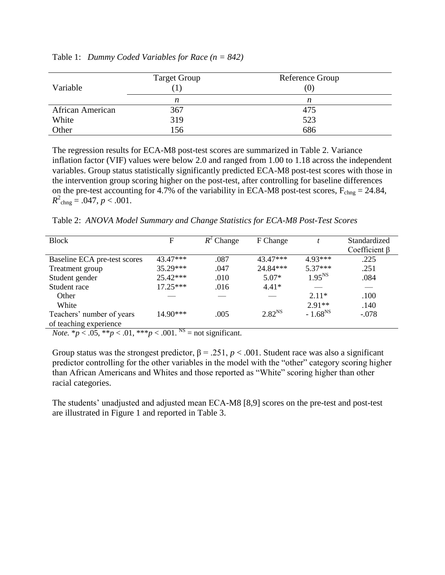| Variable         | <b>Target Group</b> | Reference Group<br>(0) |
|------------------|---------------------|------------------------|
|                  | n                   | n                      |
| African American | 367                 | 475                    |
| White            | 319                 | 523                    |
| Other            | 156                 | 686                    |

Table 1: *Dummy Coded Variables for Race (n = 842)*

The regression results for ECA-M8 post-test scores are summarized in Table 2. Variance inflation factor (VIF) values were below 2.0 and ranged from 1.00 to 1.18 across the independent variables. Group status statistically significantly predicted ECA-M8 post-test scores with those in the intervention group scoring higher on the post-test, after controlling for baseline differences on the pre-test accounting for 4.7% of the variability in ECA-M8 post-test scores,  $F_{chng} = 24.84$ ,  $R^2_{\text{chng}} = .047, p < .001.$ 

Table 2: *ANOVA Model Summary and Change Statistics for ECA-M8 Post-Test Scores*

| <b>Block</b>                 | F          | $R^2$ Change | F Change    |              | Standardized        |
|------------------------------|------------|--------------|-------------|--------------|---------------------|
|                              |            |              |             |              | Coefficient $\beta$ |
| Baseline ECA pre-test scores | 43.47***   | .087         | $43.47***$  | $4.93***$    | .225                |
| Treatment group              | $35.29***$ | .047         | 24.84***    | $5.37***$    | .251                |
| Student gender               | $25.42***$ | .010         | $5.07*$     | $1.95^{NS}$  | .084                |
| Student race                 | $17.25***$ | .016         | $4.41*$     |              |                     |
| Other                        |            |              |             | $2.11*$      | .100                |
| White                        |            |              |             | $2.91**$     | .140                |
| Teachers' number of years    | $14.90***$ | .005         | $2.82^{NS}$ | $-1.68^{NS}$ | $-.078$             |
| of teaching experience       |            |              |             |              |                     |

*Note.*  $* p < .05$ ,  $** p < .01$ ,  $** p < .001$ . <sup>NS</sup> = not significant.

Group status was the strongest predictor,  $\beta = 0.251$ ,  $p < 0.001$ . Student race was also a significant predictor controlling for the other variables in the model with the "other" category scoring higher than African Americans and Whites and those reported as "White" scoring higher than other racial categories.

The students' unadjusted and adjusted mean ECA-M8 [8,9] scores on the pre-test and post-test are illustrated in Figure 1 and reported in Table 3.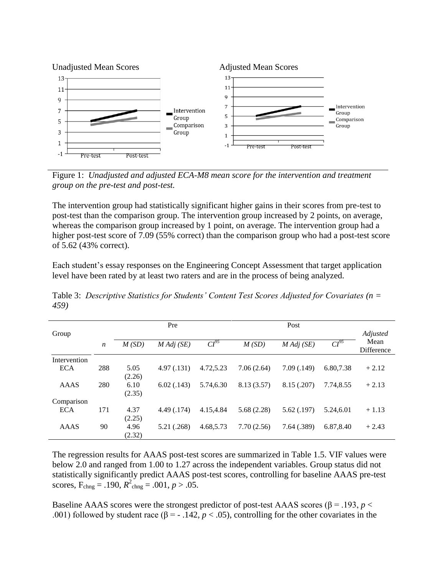

Figure 1: *Unadjusted and adjusted ECA-M8 mean score for the intervention and treatment group on the pre-test and post-test.*

The intervention group had statistically significant higher gains in their scores from pre-test to post-test than the comparison group. The intervention group increased by 2 points, on average, whereas the comparison group increased by 1 point, on average. The intervention group had a higher post-test score of 7.09 (55% correct) than the comparison group who had a post-test score of 5.62 (43% correct).

Each student's essay responses on the Engineering Concept Assessment that target application level have been rated by at least two raters and are in the process of being analyzed.

|              |                  |        | Pre                |           |            | Post               |           |            |
|--------------|------------------|--------|--------------------|-----------|------------|--------------------|-----------|------------|
| Group        |                  |        |                    |           |            |                    |           | Adjusted   |
|              | $\boldsymbol{n}$ | M(SD)  | $M \, Adj \, (SE)$ | $CI^{95}$ | M(SD)      | $M \, Adj \, (SE)$ | $CI^{95}$ | Mean       |
|              |                  |        |                    |           |            |                    |           | Difference |
| Intervention |                  |        |                    |           |            |                    |           |            |
| <b>ECA</b>   | 288              | 5.05   | 4.97(0.131)        | 4.72.5.23 | 7.06(2.64) | 7.09(0.149)        | 6.80,7.38 | $+2.12$    |
|              |                  | (2.26) |                    |           |            |                    |           |            |
| <b>AAAS</b>  | 280              | 6.10   | 6.02(0.143)        | 5.74,6.30 | 8.13(3.57) | 8.15 (.207)        | 7.74,8.55 | $+2.13$    |
|              |                  | (2.35) |                    |           |            |                    |           |            |
| Comparison   |                  |        |                    |           |            |                    |           |            |
| <b>ECA</b>   | 171              | 4.37   | 4.49 (.174)        | 4.15.4.84 | 5.68(2.28) | 5.62(0.197)        | 5.24,6.01 | $+1.13$    |
|              |                  | (2.25) |                    |           |            |                    |           |            |
| <b>AAAS</b>  | 90               | 4.96   | 5.21 (.268)        | 4.68,5.73 | 7.70(2.56) | 7.64(.389)         | 6.87,8.40 | $+2.43$    |
|              |                  | (2.32) |                    |           |            |                    |           |            |

Table 3: *Descriptive Statistics for Students' Content Test Scores Adjusted for Covariates (n = 459)*

The regression results for AAAS post-test scores are summarized in Table 1.5. VIF values were below 2.0 and ranged from 1.00 to 1.27 across the independent variables. Group status did not statistically significantly predict AAAS post-test scores, controlling for baseline AAAS pre-test scores,  $F_{\text{chng}} = .190$ ,  $R_{\text{chng}}^2 = .001$ ,  $p > .05$ .

Baseline AAAS scores were the strongest predictor of post-test AAAS scores ( $\beta$  = .193, *p* < .001) followed by student race ( $\beta$  = - .142,  $p < .05$ ), controlling for the other covariates in the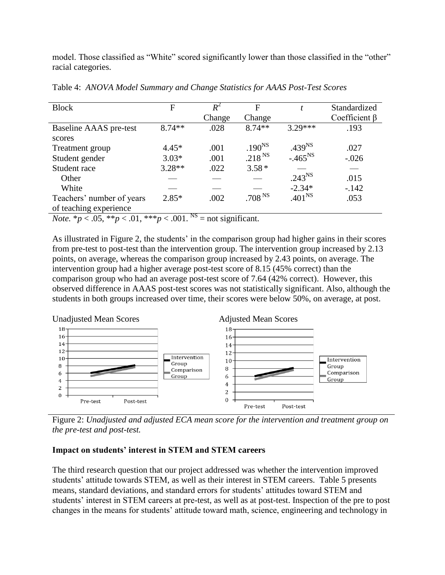model. Those classified as "White" scored significantly lower than those classified in the "other" racial categories.

| <b>Block</b>                                   | F                                                                                                                                                                                                                                                                                                                   | $R^2$                       | F                  | t                  | Standardized        |
|------------------------------------------------|---------------------------------------------------------------------------------------------------------------------------------------------------------------------------------------------------------------------------------------------------------------------------------------------------------------------|-----------------------------|--------------------|--------------------|---------------------|
|                                                |                                                                                                                                                                                                                                                                                                                     | Change                      | Change             |                    | Coefficient $\beta$ |
| Baseline AAAS pre-test                         | $8.74**$                                                                                                                                                                                                                                                                                                            | .028                        | $8.74**$           | $3.29***$          | .193                |
| scores                                         |                                                                                                                                                                                                                                                                                                                     |                             |                    |                    |                     |
| Treatment group                                | $4.45*$                                                                                                                                                                                                                                                                                                             | .001                        | .190 <sup>NS</sup> | .439 <sup>NS</sup> | .027                |
| Student gender                                 | $3.03*$                                                                                                                                                                                                                                                                                                             | .001                        | .218 <sup>NS</sup> | $-.465^{NS}$       | $-.026$             |
| Student race                                   | $3.28**$                                                                                                                                                                                                                                                                                                            | .022                        | $3.58*$            |                    |                     |
| Other                                          |                                                                                                                                                                                                                                                                                                                     |                             |                    | $.243^{NS}$        | .015                |
| White                                          |                                                                                                                                                                                                                                                                                                                     |                             |                    | $-2.34*$           | $-142$              |
| Teachers' number of years                      | $2.85*$                                                                                                                                                                                                                                                                                                             | .002                        | .708 <sup>NS</sup> | .401 <sup>NS</sup> | .053                |
| of teaching experience                         |                                                                                                                                                                                                                                                                                                                     |                             |                    |                    |                     |
| $M_{\odot}$ is $\approx 0.5$ kkm $\approx 0.1$ | $\frac{1}{2}$ $\frac{1}{2}$ $\frac{1}{2}$ $\frac{1}{2}$ $\frac{1}{2}$ $\frac{1}{2}$ $\frac{1}{2}$ $\frac{1}{2}$ $\frac{1}{2}$ $\frac{1}{2}$ $\frac{1}{2}$ $\frac{1}{2}$ $\frac{1}{2}$ $\frac{1}{2}$ $\frac{1}{2}$ $\frac{1}{2}$ $\frac{1}{2}$ $\frac{1}{2}$ $\frac{1}{2}$ $\frac{1}{2}$ $\frac{1}{2}$ $\frac{1}{2}$ | NS<br>range of our Constant |                    |                    |                     |

Table 4: *ANOVA Model Summary and Change Statistics for AAAS Post-Test Scores*

*Note.*  ${}^*p$  < .05,  ${}^{**}p$  < .01,  ${}^{**}p$  < .001.  ${}^{**}$  = not significant.

As illustrated in Figure 2, the students' in the comparison group had higher gains in their scores from pre-test to post-test than the intervention group. The intervention group increased by 2.13 points, on average, whereas the comparison group increased by 2.43 points, on average. The intervention group had a higher average post-test score of 8.15 (45% correct) than the comparison group who had an average post-test score of 7.64 (42% correct). However, this observed difference in AAAS post-test scores was not statistically significant. Also, although the students in both groups increased over time, their scores were below 50%, on average, at post.



Figure 2: *Unadjusted and adjusted ECA mean score for the intervention and treatment group on the pre-test and post-test.*

# **Impact on students' interest in STEM and STEM careers**

The third research question that our project addressed was whether the intervention improved students' attitude towards STEM, as well as their interest in STEM careers. Table 5 presents means, standard deviations, and standard errors for students' attitudes toward STEM and students' interest in STEM careers at pre-test, as well as at post-test. Inspection of the pre to post changes in the means for students' attitude toward math, science, engineering and technology in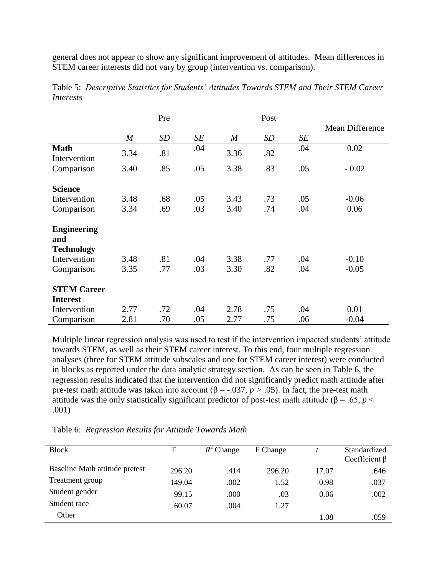general does not appear to show any significant improvement of attitudes. Mean differences in STEM career interests did not vary by group (intervention vs. comparison).

|                                       |                  | Pre |     |                  | Post |     |                 |
|---------------------------------------|------------------|-----|-----|------------------|------|-----|-----------------|
|                                       |                  |     |     |                  |      |     | Mean Difference |
|                                       | $\boldsymbol{M}$ | SD  | SE  | $\boldsymbol{M}$ | SD   | SE  |                 |
| <b>Math</b><br>Intervention           | 3.34             | .81 | .04 | 3.36             | .82  | .04 | 0.02            |
| Comparison                            | 3.40             | .85 | .05 | 3.38             | .83  | .05 | $-0.02$         |
| <b>Science</b>                        |                  |     |     |                  |      |     |                 |
| Intervention                          | 3.48             | .68 | .05 | 3.43             | .73  | .05 | $-0.06$         |
| Comparison                            | 3.34             | .69 | .03 | 3.40             | .74  | .04 | 0.06            |
| <b>Engineering</b><br>and             |                  |     |     |                  |      |     |                 |
| <b>Technology</b>                     |                  |     |     |                  |      |     |                 |
| Intervention                          | 3.48             | .81 | .04 | 3.38             | .77  | .04 | $-0.10$         |
| Comparison                            | 3.35             | .77 | .03 | 3.30             | .82  | .04 | $-0.05$         |
| <b>STEM Career</b><br><b>Interest</b> |                  |     |     |                  |      |     |                 |
| Intervention                          | 2.77             | .72 | .04 | 2.78             | .75  | .04 | 0.01            |
| Comparison                            | 2.81             | .70 | .05 | 2.77             | .75  | .06 | $-0.04$         |

Table 5: *Descriptive Statistics for Students' Attitudes Towards STEM and Their STEM Career Interests*

Multiple linear regression analysis was used to test if the intervention impacted students' attitude towards STEM, as well as their STEM career interest. To this end, four multiple regression analyses (three for STEM attitude subscales and one for STEM career interest) were conducted in blocks as reported under the data analytic strategy section. As can be seen in Table 6, the regression results indicated that the intervention did not significantly predict math attitude after pre-test math attitude was taken into account ( $\beta$  = -.037, *p* > .05). In fact, the pre-test math attitude was the only statistically significant predictor of post-test math attitude ( $\beta$  = .65, *p* < .001)

Table 6: *Regression Results for Attitude Towards Math* 

| <b>Block</b>                   | F      | $R^2$ Change | F Change |         | Standardized<br>Coefficient $\beta$ |
|--------------------------------|--------|--------------|----------|---------|-------------------------------------|
| Baseline Math attitude pretest | 296.20 | .414         | 296.20   | 17.07   | .646                                |
| Treatment group                | 149.04 | .002         | 1.52     | $-0.98$ | $-.037$                             |
| Student gender                 | 99.15  | .000         | .03      | 0.06    | .002                                |
| Student race                   | 60.07  | .004         | 1.27     |         |                                     |
| Other                          |        |              |          | 1.08    | .059                                |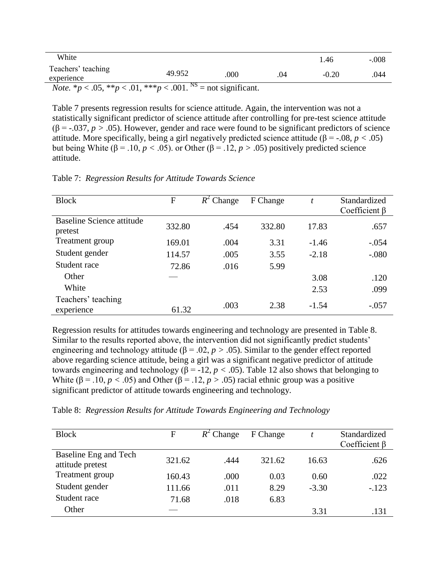| White                                                                                       |        |      |     | 1.46    | $-.008$ |
|---------------------------------------------------------------------------------------------|--------|------|-----|---------|---------|
| Teachers' teaching<br>experience                                                            | 49.952 | .000 | .04 | $-0.20$ | .044    |
| <i>Note.</i> * $p < .05$ , ** $p < .01$ , *** $p < .001$ . <sup>NS</sup> = not significant. |        |      |     |         |         |

Table 7 presents regression results for science attitude. Again, the intervention was not a statistically significant predictor of science attitude after controlling for pre-test science attitude  $(\beta = -0.037, p > 0.05)$ . However, gender and race were found to be significant predictors of science attitude. More specifically, being a girl negatively predicted science attitude ( $\beta$  = -.08, *p* < .05) but being White (β = .10, *p <* .05). or Other (β = .12, *p >* .05) positively predicted science attitude.

| <b>Block</b>                         | F      | $R^2$ Change | F Change | t       | Standardized<br>Coefficient $\beta$ |
|--------------------------------------|--------|--------------|----------|---------|-------------------------------------|
| Baseline Science attitude<br>pretest | 332.80 | .454         | 332.80   | 17.83   | .657                                |
| Treatment group                      | 169.01 | .004         | 3.31     | $-1.46$ | $-.054$                             |
| Student gender                       | 114.57 | .005         | 3.55     | $-2.18$ | $-.080$                             |
| Student race                         | 72.86  | .016         | 5.99     |         |                                     |
| Other                                |        |              |          | 3.08    | .120                                |
| White                                |        |              |          | 2.53    | .099                                |
| Teachers' teaching<br>experience     | 61.32  | .003         | 2.38     | $-1.54$ | $-.057$                             |

Table 7: *Regression Results for Attitude Towards Science* 

Regression results for attitudes towards engineering and technology are presented in Table 8. Similar to the results reported above, the intervention did not significantly predict students' engineering and technology attitude ( $\beta$  = .02, *p* > .05). Similar to the gender effect reported above regarding science attitude, being a girl was a significant negative predictor of attitude towards engineering and technology ( $\beta$  = -12, *p* < .05). Table 12 also shows that belonging to White ( $\beta$  = .10, *p* < .05) and Other ( $\beta$  = .12, *p* > .05) racial ethnic group was a positive significant predictor of attitude towards engineering and technology.

|  |  |  | Table 8: Regression Results for Attitude Towards Engineering and Technology |
|--|--|--|-----------------------------------------------------------------------------|
|  |  |  |                                                                             |

| <b>Block</b>                              | F      | $R^2$ Change | F Change |         | Standardized<br>Coefficient $\beta$ |
|-------------------------------------------|--------|--------------|----------|---------|-------------------------------------|
| Baseline Eng and Tech<br>attitude pretest | 321.62 | .444         | 321.62   | 16.63   | .626                                |
| Treatment group                           | 160.43 | .000         | 0.03     | 0.60    | .022                                |
| Student gender                            | 111.66 | .011         | 8.29     | $-3.30$ | $-.123$                             |
| Student race                              | 71.68  | .018         | 6.83     |         |                                     |
| Other                                     |        |              |          | 3.31    | .131                                |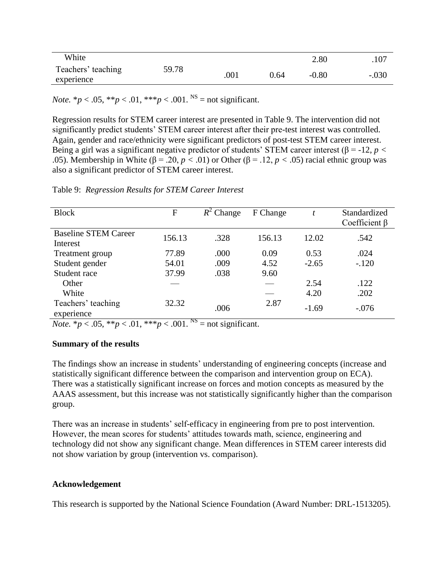| White                            |       |      |      | 2.80    | .107    |
|----------------------------------|-------|------|------|---------|---------|
| Teachers' teaching<br>experience | 59.78 | .001 | 0.64 | $-0.80$ | $-.030$ |

*Note.*  $* p < .05$ ,  $* p < .01$ ,  $* * p < .001$ . <sup>NS</sup> = not significant.

Regression results for STEM career interest are presented in Table 9. The intervention did not significantly predict students' STEM career interest after their pre-test interest was controlled. Again, gender and race/ethnicity were significant predictors of post-test STEM career interest. Being a girl was a significant negative predictor of students' STEM career interest (β = -12, *p <* .05). Membership in White (β = .20, *p <* .01) or Other (β = .12, *p <* .05) racial ethnic group was also a significant predictor of STEM career interest.

| <b>Block</b>                            | $\mathbf{F}$ | $R^2$ Change | F Change |         | Standardized<br>Coefficient $\beta$ |
|-----------------------------------------|--------------|--------------|----------|---------|-------------------------------------|
| <b>Baseline STEM Career</b><br>Interest | 156.13       | .328         | 156.13   | 12.02   | .542                                |
| Treatment group                         | 77.89        | .000         | 0.09     | 0.53    | .024                                |
| Student gender                          | 54.01        | .009         | 4.52     | $-2.65$ | $-.120$                             |
| Student race                            | 37.99        | .038         | 9.60     |         |                                     |
| Other                                   |              |              |          | 2.54    | .122                                |
| White                                   |              |              |          | 4.20    | .202                                |
| Teachers' teaching<br>experience        | 32.32        | .006         | 2.87     | $-1.69$ | $-.076$                             |

Table 9: *Regression Results for STEM Career Interest*

*Note.*  $* p < .05, ** p < .01, *** p < .001.$ <sup>NS</sup> = not significant.

## **Summary of the results**

The findings show an increase in students' understanding of engineering concepts (increase and statistically significant difference between the comparison and intervention group on ECA). There was a statistically significant increase on forces and motion concepts as measured by the AAAS assessment, but this increase was not statistically significantly higher than the comparison group.

There was an increase in students' self-efficacy in engineering from pre to post intervention. However, the mean scores for students' attitudes towards math, science, engineering and technology did not show any significant change. Mean differences in STEM career interests did not show variation by group (intervention vs. comparison).

## **Acknowledgement**

This research is supported by the National Science Foundation (Award Number: DRL-1513205).